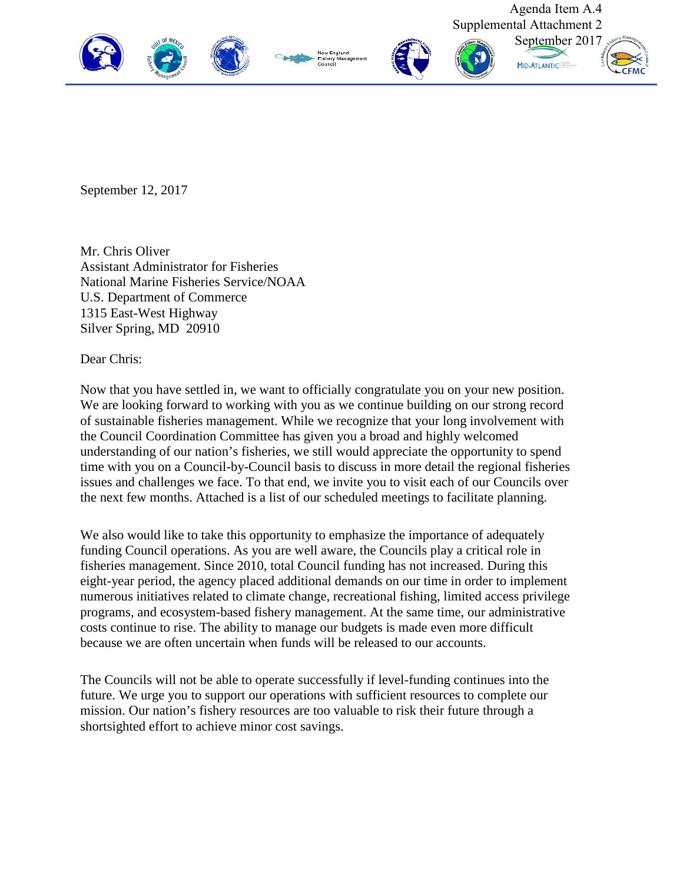

September 12, 2017

Mr. Chris Oliver Assistant Administrator for Fisheries National Marine Fisheries Service/NOAA U.S. Department of Commerce 1315 East-West Highway Silver Spring, MD 20910

Dear Chris:

Now that you have settled in, we want to officially congratulate you on your new position. We are looking forward to working with you as we continue building on our strong record of sustainable fisheries management. While we recognize that your long involvement with the Council Coordination Committee has given you a broad and highly welcomed understanding of our nation's fisheries, we still would appreciate the opportunity to spend time with you on a Council-by-Council basis to discuss in more detail the regional fisheries issues and challenges we face. To that end, we invite you to visit each of our Councils over the next few months. Attached is a list of our scheduled meetings to facilitate planning.

We also would like to take this opportunity to emphasize the importance of adequately funding Council operations. As you are well aware, the Councils play a critical role in fisheries management. Since 2010, total Council funding has not increased. During this eight-year period, the agency placed additional demands on our time in order to implement numerous initiatives related to climate change, recreational fishing, limited access privilege programs, and ecosystem-based fishery management. At the same time, our administrative costs continue to rise. The ability to manage our budgets is made even more difficult because we are often uncertain when funds will be released to our accounts.

The Councils will not be able to operate successfully if level-funding continues into the future. We urge you to support our operations with sufficient resources to complete our mission. Our nation's fishery resources are too valuable to risk their future through a shortsighted effort to achieve minor cost savings.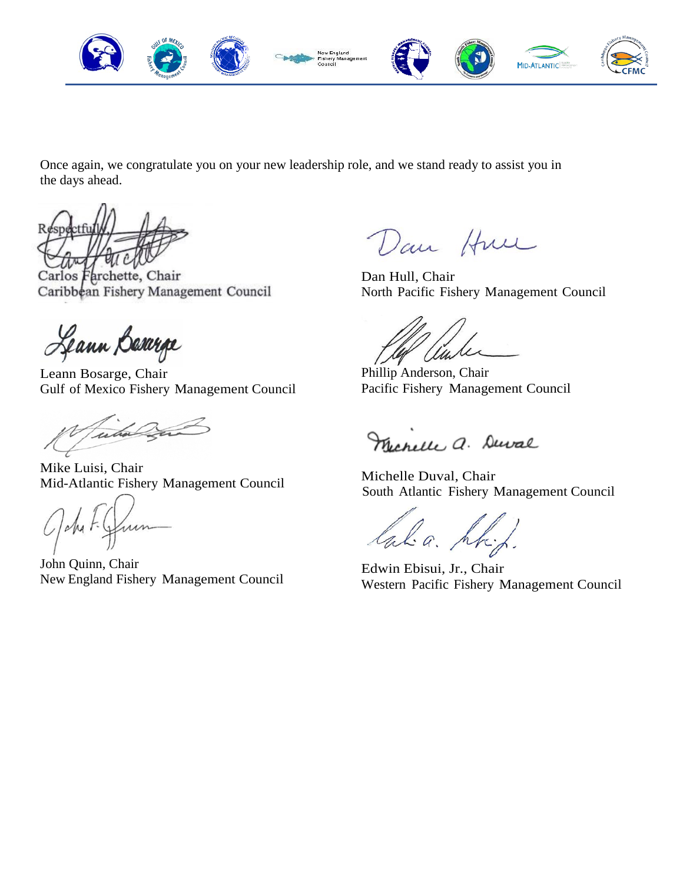

Once again, we congratulate you on your new leadership role, and we stand ready to assist you in the days ahead.

Carlos Farchette, Chair Caribbean Fishery Management Council

Leann Bararpe

Leann Bosarge, Chair Gulf of Mexico Fishery Management Council

Tuto Car

Mike Luisi, Chair Mid-Atlantic Fishery Management Council

*n*  $2\mu$  F.

John Quinn, Chair New England Fishery Management Council

Dan Hun

Dan Hull, Chair North Pacific Fishery Management Council

*Live* 

Phillip Anderson, Chair Pacific Fishery Management Council

Merelle a. Duval

Michelle Duval, Chair South Atlantic Fishery Management Council

lala. hr

Edwin Ebisui, Jr., Chair Western Pacific Fishery Management Council